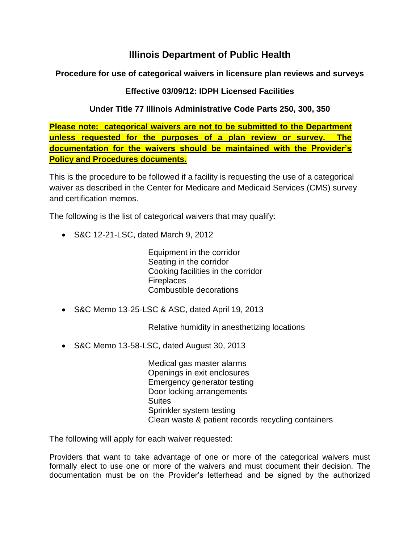## **Illinois Department of Public Health**

**Procedure for use of categorical waivers in licensure plan reviews and surveys**

## **Effective 03/09/12: IDPH Licensed Facilities**

## **Under Title 77 Illinois Administrative Code Parts 250, 300, 350**

**Please note: categorical waivers are not to be submitted to the Department unless requested for the purposes of a plan review or survey. The documentation for the waivers should be maintained with the Provider's Policy and Procedures documents.**

This is the procedure to be followed if a facility is requesting the use of a categorical waiver as described in the Center for Medicare and Medicaid Services (CMS) survey and certification memos.

The following is the list of categorical waivers that may qualify:

S&C 12-21-LSC, dated March 9, 2012

Equipment in the corridor Seating in the corridor Cooking facilities in the corridor **Fireplaces** Combustible decorations

S&C Memo 13-25-LSC & ASC, dated April 19, 2013

Relative humidity in anesthetizing locations

S&C Memo 13-58-LSC, dated August 30, 2013

Medical gas master alarms Openings in exit enclosures Emergency generator testing Door locking arrangements **Suites** Sprinkler system testing Clean waste & patient records recycling containers

The following will apply for each waiver requested:

Providers that want to take advantage of one or more of the categorical waivers must formally elect to use one or more of the waivers and must document their decision. The documentation must be on the Provider's letterhead and be signed by the authorized